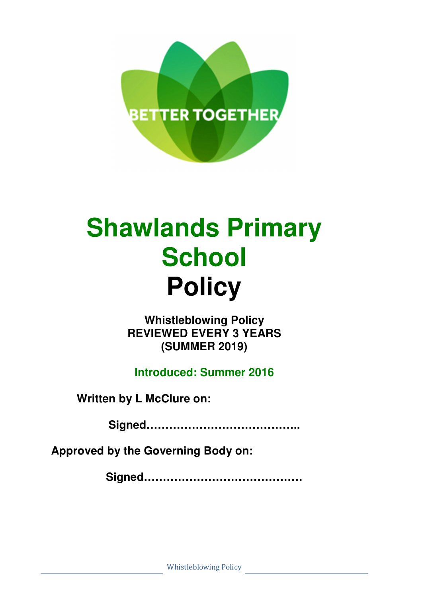

# **Shawlands Primary School Policy**

**Whistleblowing Policy REVIEWED EVERY 3 YEARS (SUMMER 2019)** 

**Introduced: Summer 2016** 

**Written by L McClure on:** 

**Signed…………………………………..** 

**Approved by the Governing Body on:** 

**Signed……………………………………**

Whistleblowing Policy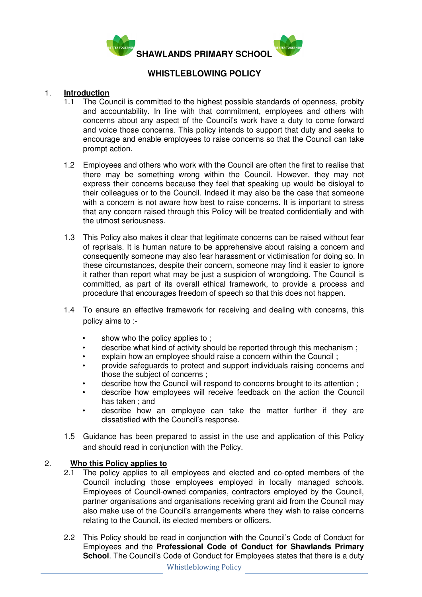

# **WHISTLEBLOWING POLICY**

## 1. **Introduction**

- 1.1 The Council is committed to the highest possible standards of openness, probity and accountability. In line with that commitment, employees and others with concerns about any aspect of the Council's work have a duty to come forward and voice those concerns. This policy intends to support that duty and seeks to encourage and enable employees to raise concerns so that the Council can take prompt action.
- 1.2 Employees and others who work with the Council are often the first to realise that there may be something wrong within the Council. However, they may not express their concerns because they feel that speaking up would be disloyal to their colleagues or to the Council. Indeed it may also be the case that someone with a concern is not aware how best to raise concerns. It is important to stress that any concern raised through this Policy will be treated confidentially and with the utmost seriousness.
- 1.3 This Policy also makes it clear that legitimate concerns can be raised without fear of reprisals. It is human nature to be apprehensive about raising a concern and consequently someone may also fear harassment or victimisation for doing so. In these circumstances, despite their concern, someone may find it easier to ignore it rather than report what may be just a suspicion of wrongdoing. The Council is committed, as part of its overall ethical framework, to provide a process and procedure that encourages freedom of speech so that this does not happen.
- 1.4 To ensure an effective framework for receiving and dealing with concerns, this policy aims to :
	- show who the policy applies to:
	- describe what kind of activity should be reported through this mechanism ;
	- explain how an employee should raise a concern within the Council;
	- provide safeguards to protect and support individuals raising concerns and those the subject of concerns ;
	- describe how the Council will respond to concerns brought to its attention ;
	- describe how employees will receive feedback on the action the Council has taken ; and
	- describe how an employee can take the matter further if they are dissatisfied with the Council's response.
- 1.5 Guidance has been prepared to assist in the use and application of this Policy and should read in conjunction with the Policy.

# 2. **Who this Policy applies to**

- 2.1 The policy applies to all employees and elected and co-opted members of the Council including those employees employed in locally managed schools. Employees of Council-owned companies, contractors employed by the Council, partner organisations and organisations receiving grant aid from the Council may also make use of the Council's arrangements where they wish to raise concerns relating to the Council, its elected members or officers.
- 2.2 This Policy should be read in conjunction with the Council's Code of Conduct for Employees and the **Professional Code of Conduct for Shawlands Primary School**. The Council's Code of Conduct for Employees states that there is a duty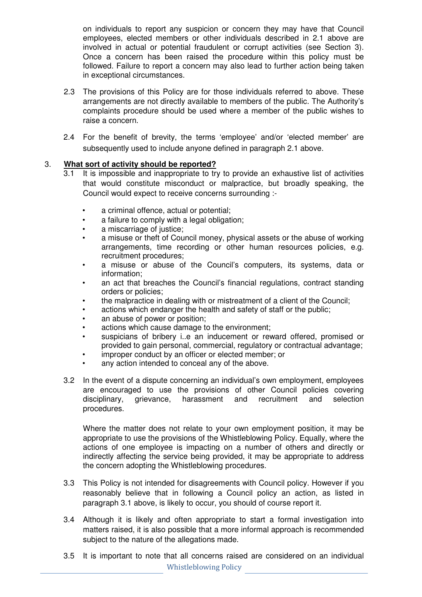on individuals to report any suspicion or concern they may have that Council employees, elected members or other individuals described in 2.1 above are involved in actual or potential fraudulent or corrupt activities (see Section 3). Once a concern has been raised the procedure within this policy must be followed. Failure to report a concern may also lead to further action being taken in exceptional circumstances.

- 2.3 The provisions of this Policy are for those individuals referred to above. These arrangements are not directly available to members of the public. The Authority's complaints procedure should be used where a member of the public wishes to raise a concern.
- 2.4 For the benefit of brevity, the terms 'employee' and/or 'elected member' are subsequently used to include anyone defined in paragraph 2.1 above.

# 3. **What sort of activity should be reported?**

- 3.1 It is impossible and inappropriate to try to provide an exhaustive list of activities that would constitute misconduct or malpractice, but broadly speaking, the Council would expect to receive concerns surrounding :
	- a criminal offence, actual or potential;
	- a failure to comply with a legal obligation;
	- a miscarriage of justice;
	- a misuse or theft of Council money, physical assets or the abuse of working arrangements, time recording or other human resources policies, e.g. recruitment procedures;
	- a misuse or abuse of the Council's computers, its systems, data or information;
	- an act that breaches the Council's financial regulations, contract standing orders or policies;
	- the malpractice in dealing with or mistreatment of a client of the Council;
	- actions which endanger the health and safety of staff or the public;
	- an abuse of power or position;
	- actions which cause damage to the environment;
	- suspicians of bribery i..e an inducement or reward offered, promised or provided to gain personal, commercial, regulatory or contractual advantage;
	- improper conduct by an officer or elected member; or
	- any action intended to conceal any of the above.
- 3.2 In the event of a dispute concerning an individual's own employment, employees are encouraged to use the provisions of other Council policies covering disciplinary, grievance, harassment and recruitment and selection procedures.

Where the matter does not relate to your own employment position, it may be appropriate to use the provisions of the Whistleblowing Policy. Equally, where the actions of one employee is impacting on a number of others and directly or indirectly affecting the service being provided, it may be appropriate to address the concern adopting the Whistleblowing procedures.

- 3.3 This Policy is not intended for disagreements with Council policy. However if you reasonably believe that in following a Council policy an action, as listed in paragraph 3.1 above, is likely to occur, you should of course report it.
- 3.4 Although it is likely and often appropriate to start a formal investigation into matters raised, it is also possible that a more informal approach is recommended subject to the nature of the allegations made.
- Whistleblowing Policy 3.5 It is important to note that all concerns raised are considered on an individual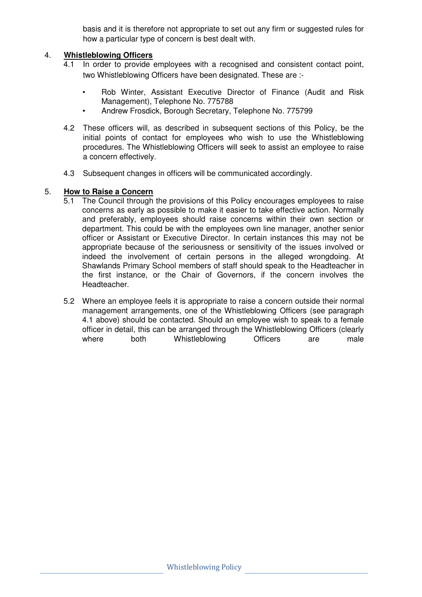basis and it is therefore not appropriate to set out any firm or suggested rules for how a particular type of concern is best dealt with.

## 4. **Whistleblowing Officers**

- 4.1 In order to provide employees with a recognised and consistent contact point, two Whistleblowing Officers have been designated. These are :-
	- Rob Winter, Assistant Executive Director of Finance (Audit and Risk Management), Telephone No. 775788
	- Andrew Frosdick, Borough Secretary, Telephone No. 775799
- 4.2 These officers will, as described in subsequent sections of this Policy, be the initial points of contact for employees who wish to use the Whistleblowing procedures. The Whistleblowing Officers will seek to assist an employee to raise a concern effectively.
- 4.3 Subsequent changes in officers will be communicated accordingly.

# 5. **How to Raise a Concern**

- 5.1 The Council through the provisions of this Policy encourages employees to raise concerns as early as possible to make it easier to take effective action. Normally and preferably, employees should raise concerns within their own section or department. This could be with the employees own line manager, another senior officer or Assistant or Executive Director. In certain instances this may not be appropriate because of the seriousness or sensitivity of the issues involved or indeed the involvement of certain persons in the alleged wrongdoing. At Shawlands Primary School members of staff should speak to the Headteacher in the first instance, or the Chair of Governors, if the concern involves the Headteacher.
- 5.2 Where an employee feels it is appropriate to raise a concern outside their normal management arrangements, one of the Whistleblowing Officers (see paragraph 4.1 above) should be contacted. Should an employee wish to speak to a female officer in detail, this can be arranged through the Whistleblowing Officers (clearly where both Whistleblowing Officers are male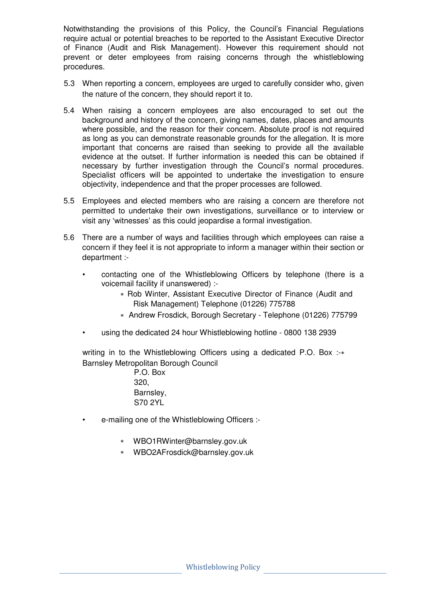Notwithstanding the provisions of this Policy, the Council's Financial Regulations require actual or potential breaches to be reported to the Assistant Executive Director of Finance (Audit and Risk Management). However this requirement should not prevent or deter employees from raising concerns through the whistleblowing procedures.

- 5.3 When reporting a concern, employees are urged to carefully consider who, given the nature of the concern, they should report it to.
- 5.4 When raising a concern employees are also encouraged to set out the background and history of the concern, giving names, dates, places and amounts where possible, and the reason for their concern. Absolute proof is not required as long as you can demonstrate reasonable grounds for the allegation. It is more important that concerns are raised than seeking to provide all the available evidence at the outset. If further information is needed this can be obtained if necessary by further investigation through the Council's normal procedures. Specialist officers will be appointed to undertake the investigation to ensure objectivity, independence and that the proper processes are followed.
- 5.5 Employees and elected members who are raising a concern are therefore not permitted to undertake their own investigations, surveillance or to interview or visit any 'witnesses' as this could jeopardise a formal investigation.
- 5.6 There are a number of ways and facilities through which employees can raise a concern if they feel it is not appropriate to inform a manager within their section or department :-
	- contacting one of the Whistleblowing Officers by telephone (there is a voicemail facility if unanswered) :-
		- ∗ Rob Winter, Assistant Executive Director of Finance (Audit and Risk Management) Telephone (01226) 775788
		- ∗ Andrew Frosdick, Borough Secretary Telephone (01226) 775799
	- using the dedicated 24 hour Whistleblowing hotline 0800 138 2939

writing in to the Whistleblowing Officers using a dedicated P.O. Box :-\* Barnsley Metropolitan Borough Council

- P.O. Box 320, Barnsley, S70 2YL
- e-mailing one of the Whistleblowing Officers :-
	- ∗ WBO1RWinter@barnsley.gov.uk
	- ∗ WBO2AFrosdick@barnsley.gov.uk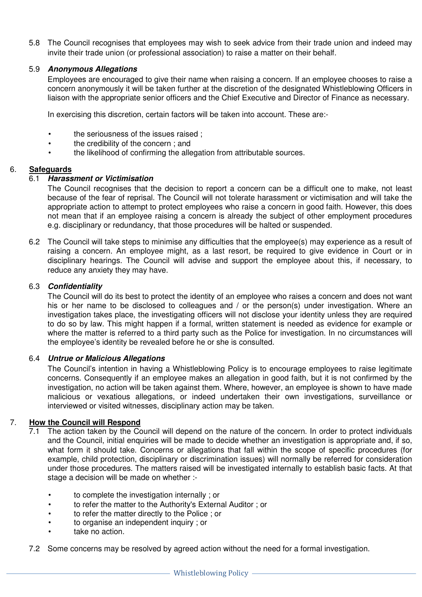5.8 The Council recognises that employees may wish to seek advice from their trade union and indeed may invite their trade union (or professional association) to raise a matter on their behalf.

## 5.9 **Anonymous Allegations**

Employees are encouraged to give their name when raising a concern. If an employee chooses to raise a concern anonymously it will be taken further at the discretion of the designated Whistleblowing Officers in liaison with the appropriate senior officers and the Chief Executive and Director of Finance as necessary.

In exercising this discretion, certain factors will be taken into account. These are:-

- the seriousness of the issues raised ;
- the credibility of the concern ; and
- the likelihood of confirming the allegation from attributable sources.

## 6. **Safeguards**

## 6.1 **Harassment or Victimisation**

The Council recognises that the decision to report a concern can be a difficult one to make, not least because of the fear of reprisal. The Council will not tolerate harassment or victimisation and will take the appropriate action to attempt to protect employees who raise a concern in good faith. However, this does not mean that if an employee raising a concern is already the subject of other employment procedures e.g. disciplinary or redundancy, that those procedures will be halted or suspended.

6.2 The Council will take steps to minimise any difficulties that the employee(s) may experience as a result of raising a concern. An employee might, as a last resort, be required to give evidence in Court or in disciplinary hearings. The Council will advise and support the employee about this, if necessary, to reduce any anxiety they may have.

## 6.3 **Confidentiality**

The Council will do its best to protect the identity of an employee who raises a concern and does not want his or her name to be disclosed to colleagues and / or the person(s) under investigation. Where an investigation takes place, the investigating officers will not disclose your identity unless they are required to do so by law. This might happen if a formal, written statement is needed as evidence for example or where the matter is referred to a third party such as the Police for investigation. In no circumstances will the employee's identity be revealed before he or she is consulted.

#### 6.4 **Untrue or Malicious Allegations**

The Council's intention in having a Whistleblowing Policy is to encourage employees to raise legitimate concerns. Consequently if an employee makes an allegation in good faith, but it is not confirmed by the investigation, no action will be taken against them. Where, however, an employee is shown to have made malicious or vexatious allegations, or indeed undertaken their own investigations, surveillance or interviewed or visited witnesses, disciplinary action may be taken.

# 7. **How the Council will Respond**

- 7.1 The action taken by the Council will depend on the nature of the concern. In order to protect individuals and the Council, initial enquiries will be made to decide whether an investigation is appropriate and, if so, what form it should take. Concerns or allegations that fall within the scope of specific procedures (for example, child protection, disciplinary or discrimination issues) will normally be referred for consideration under those procedures. The matters raised will be investigated internally to establish basic facts. At that stage a decision will be made on whether :-
	- to complete the investigation internally ; or
	- to refer the matter to the Authority's External Auditor ; or
	- to refer the matter directly to the Police ; or
	- to organise an independent inquiry ; or
	- take no action.
- 7.2 Some concerns may be resolved by agreed action without the need for a formal investigation.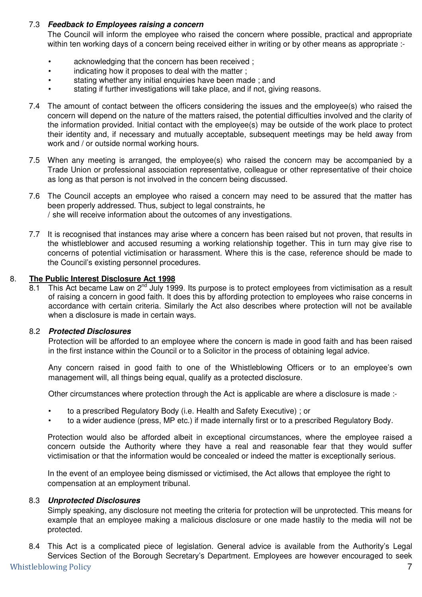# 7.3 **Feedback to Employees raising a concern**

The Council will inform the employee who raised the concern where possible, practical and appropriate within ten working days of a concern being received either in writing or by other means as appropriate :-

- acknowledging that the concern has been received;
- indicating how it proposes to deal with the matter;
- stating whether any initial enquiries have been made; and
- stating if further investigations will take place, and if not, giving reasons.
- 7.4 The amount of contact between the officers considering the issues and the employee(s) who raised the concern will depend on the nature of the matters raised, the potential difficulties involved and the clarity of the information provided. Initial contact with the employee(s) may be outside of the work place to protect their identity and, if necessary and mutually acceptable, subsequent meetings may be held away from work and / or outside normal working hours.
- 7.5 When any meeting is arranged, the employee(s) who raised the concern may be accompanied by a Trade Union or professional association representative, colleague or other representative of their choice as long as that person is not involved in the concern being discussed.
- 7.6 The Council accepts an employee who raised a concern may need to be assured that the matter has been properly addressed. Thus, subject to legal constraints, he / she will receive information about the outcomes of any investigations.
- 7.7 It is recognised that instances may arise where a concern has been raised but not proven, that results in the whistleblower and accused resuming a working relationship together. This in turn may give rise to concerns of potential victimisation or harassment. Where this is the case, reference should be made to the Council's existing personnel procedures.

## 8. **The Public Interest Disclosure Act 1998**

8.1 This Act became Law on  $2^{nd}$  July 1999. Its purpose is to protect employees from victimisation as a result of raising a concern in good faith. It does this by affording protection to employees who raise concerns in accordance with certain criteria. Similarly the Act also describes where protection will not be available when a disclosure is made in certain ways.

#### 8.2 **Protected Disclosures**

Protection will be afforded to an employee where the concern is made in good faith and has been raised in the first instance within the Council or to a Solicitor in the process of obtaining legal advice.

Any concern raised in good faith to one of the Whistleblowing Officers or to an employee's own management will, all things being equal, qualify as a protected disclosure.

Other circumstances where protection through the Act is applicable are where a disclosure is made :-

- to a prescribed Regulatory Body (i.e. Health and Safety Executive) ; or
- to a wider audience (press, MP etc.) if made internally first or to a prescribed Regulatory Body.

Protection would also be afforded albeit in exceptional circumstances, where the employee raised a concern outside the Authority where they have a real and reasonable fear that they would suffer victimisation or that the information would be concealed or indeed the matter is exceptionally serious.

In the event of an employee being dismissed or victimised, the Act allows that employee the right to compensation at an employment tribunal.

#### 8.3 **Unprotected Disclosures**

Simply speaking, any disclosure not meeting the criteria for protection will be unprotected. This means for example that an employee making a malicious disclosure or one made hastily to the media will not be protected.

Whistleblowing Policy 2008 7 8.4 This Act is a complicated piece of legislation. General advice is available from the Authority's Legal Services Section of the Borough Secretary's Department. Employees are however encouraged to seek